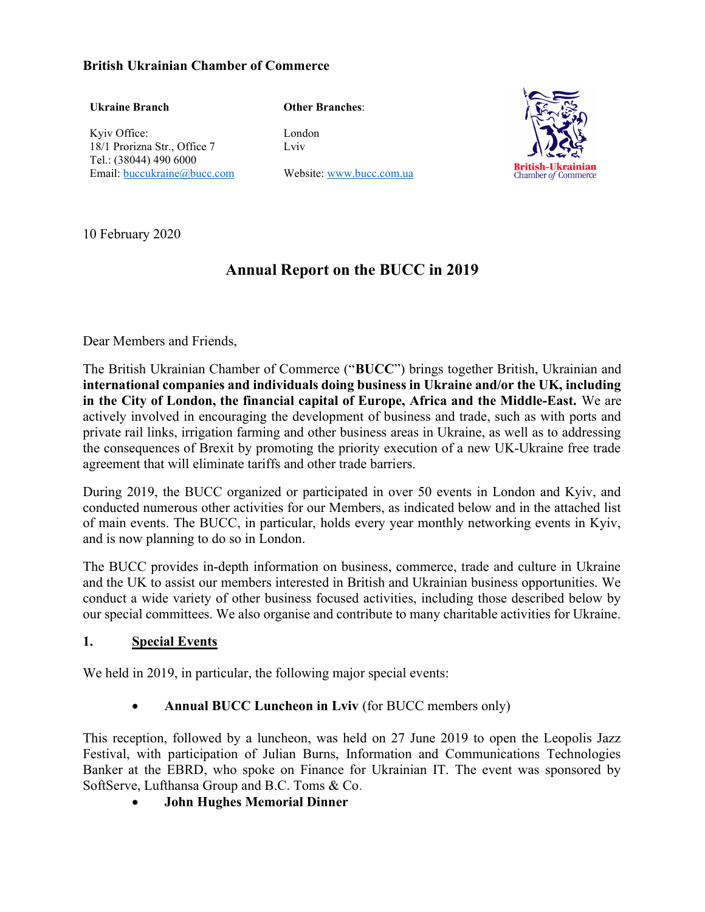#### British Ukrainian Chamber of Commerce

#### Ukraine Branch

Other Branches:

Kyiv Office: 18/1 Prorizna Str., Office 7 Tel.: (38044) 490 6000 Email: buccukraine@bucc.com London Lviv

Website: www.bucc.com.ua



10 February 2020

# Annual Report on the BUCC in 2019

Dear Members and Friends,

The British Ukrainian Chamber of Commerce ("BUCC") brings together British, Ukrainian and international companies and individuals doing business in Ukraine and/or the UK, including in the City of London, the financial capital of Europe, Africa and the Middle-East. We are actively involved in encouraging the development of business and trade, such as with ports and private rail links, irrigation farming and other business areas in Ukraine, as well as to addressing the consequences of Brexit by promoting the priority execution of a new UK-Ukraine free trade agreement that will eliminate tariffs and other trade barriers.

During 2019, the BUCC organized or participated in over 50 events in London and Kyiv, and conducted numerous other activities for our Members, as indicated below and in the attached list of main events. The BUCC, in particular, holds every year monthly networking events in Kyiv, and is now planning to do so in London.

The BUCC provides in-depth information on business, commerce, trade and culture in Ukraine and the UK to assist our members interested in British and Ukrainian business opportunities. We conduct a wide variety of other business focused activities, including those described below by our special committees. We also organise and contribute to many charitable activities for Ukraine.

#### 1. Special Events

We held in 2019, in particular, the following major special events:

• Annual BUCC Luncheon in Lviv (for BUCC members only)

This reception, followed by a luncheon, was held on 27 June 2019 to open the Leopolis Jazz Festival, with participation of Julian Burns, Information and Communications Technologies Banker at the EBRD, who spoke on Finance for Ukrainian IT. The event was sponsored by SoftServe, Lufthansa Group and B.C. Toms & Co.

John Hughes Memorial Dinner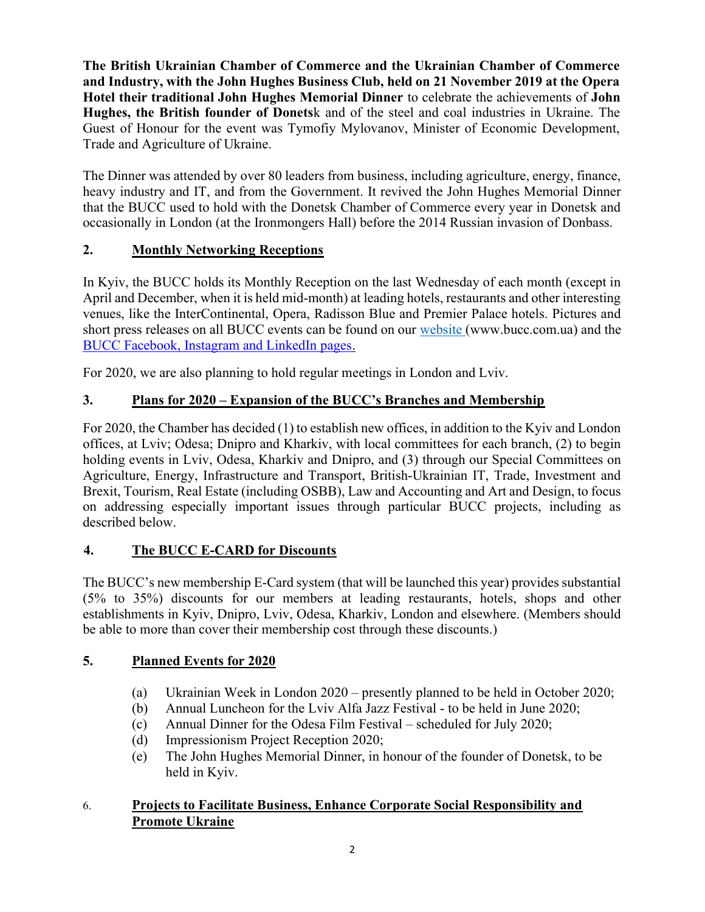The British Ukrainian Chamber of Commerce and the Ukrainian Chamber of Commerce and Industry, with the John Hughes Business Club, held on 21 November 2019 at the Opera Hotel their traditional John Hughes Memorial Dinner to celebrate the achievements of John Hughes, the British founder of Donetsk and of the steel and coal industries in Ukraine. The Guest of Honour for the event was Tymofiy Mylovanov, Minister of Economic Development, Trade and Agriculture of Ukraine.

The Dinner was attended by over 80 leaders from business, including agriculture, energy, finance, heavy industry and IT, and from the Government. It revived the John Hughes Memorial Dinner that the BUCC used to hold with the Donetsk Chamber of Commerce every year in Donetsk and occasionally in London (at the Ironmongers Hall) before the 2014 Russian invasion of Donbass.

## 2. Monthly Networking Receptions

In Kyiv, the BUCC holds its Monthly Reception on the last Wednesday of each month (except in April and December, when it is held mid-month) at leading hotels, restaurants and other interesting venues, like the InterContinental, Opera, Radisson Blue and Premier Palace hotels. Pictures and short press releases on all BUCC events can be found on our website (www.bucc.com.ua) and the BUCC Facebook, Instagram and LinkedIn pages.

For 2020, we are also planning to hold regular meetings in London and Lviv.

## 3. Plans for 2020 – Expansion of the BUCC's Branches and Membership

For 2020, the Chamber has decided (1) to establish new offices, in addition to the Kyiv and London offices, at Lviv; Odesa; Dnipro and Kharkiv, with local committees for each branch, (2) to begin holding events in Lviv, Odesa, Kharkiv and Dnipro, and (3) through our Special Committees on Agriculture, Energy, Infrastructure and Transport, British-Ukrainian IT, Trade, Investment and Brexit, Tourism, Real Estate (including OSBB), Law and Accounting and Art and Design, to focus on addressing especially important issues through particular BUCC projects, including as described below.

## 4. The BUCC E-CARD for Discounts

The BUCC's new membership E-Card system (that will be launched this year) provides substantial (5% to 35%) discounts for our members at leading restaurants, hotels, shops and other establishments in Kyiv, Dnipro, Lviv, Odesa, Kharkiv, London and elsewhere. (Members should be able to more than cover their membership cost through these discounts.)

### 5. Planned Events for 2020

- (a) Ukrainian Week in London 2020 presently planned to be held in October 2020;
- (b) Annual Luncheon for the Lviv Alfa Jazz Festival to be held in June 2020;
- (c) Annual Dinner for the Odesa Film Festival scheduled for July 2020;
- (d) Impressionism Project Reception 2020;
- (e) The John Hughes Memorial Dinner, in honour of the founder of Donetsk, to be held in Kyiv.

### 6. Projects to Facilitate Business, Enhance Corporate Social Responsibility and Promote Ukraine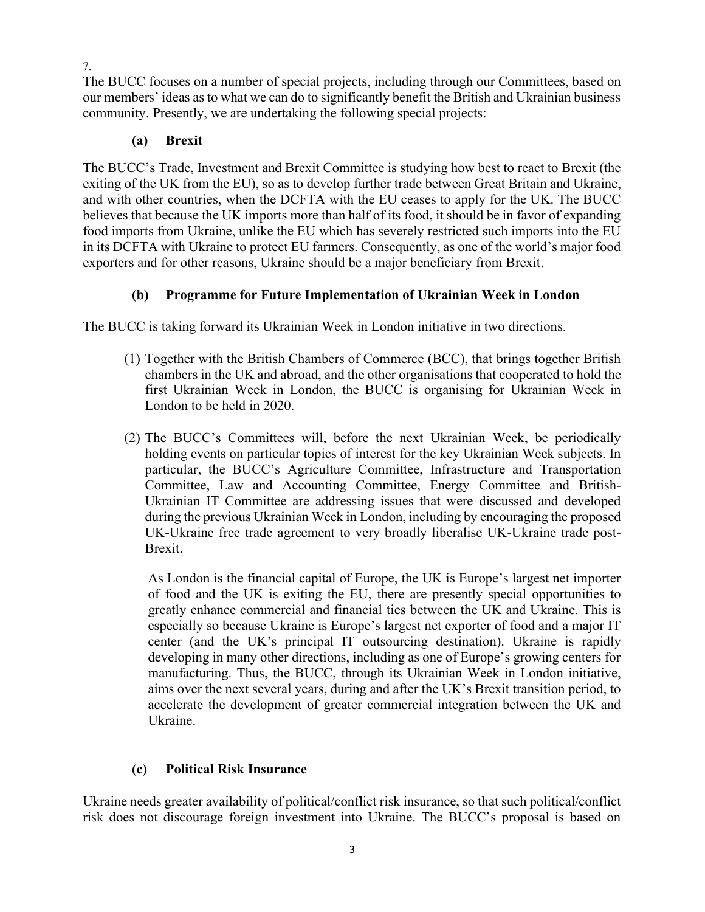The BUCC focuses on a number of special projects, including through our Committees, based on our members' ideas as to what we can do to significantly benefit the British and Ukrainian business community. Presently, we are undertaking the following special projects:

### (a) Brexit

The BUCC's Trade, Investment and Brexit Committee is studying how best to react to Brexit (the exiting of the UK from the EU), so as to develop further trade between Great Britain and Ukraine, and with other countries, when the DCFTA with the EU ceases to apply for the UK. The BUCC believes that because the UK imports more than half of its food, it should be in favor of expanding food imports from Ukraine, unlike the EU which has severely restricted such imports into the EU in its DCFTA with Ukraine to protect EU farmers. Consequently, as one of the world's major food exporters and for other reasons, Ukraine should be a major beneficiary from Brexit.

## (b) Programme for Future Implementation of Ukrainian Week in London

The BUCC is taking forward its Ukrainian Week in London initiative in two directions.

- (1) Together with the British Chambers of Commerce (BCC), that brings together British chambers in the UK and abroad, and the other organisations that cooperated to hold the first Ukrainian Week in London, the BUCC is organising for Ukrainian Week in London to be held in 2020.
- (2) The BUCC's Committees will, before the next Ukrainian Week, be periodically holding events on particular topics of interest for the key Ukrainian Week subjects. In particular, the BUCC's Agriculture Committee, Infrastructure and Transportation Committee, Law and Accounting Committee, Energy Committee and British-Ukrainian IT Committee are addressing issues that were discussed and developed during the previous Ukrainian Week in London, including by encouraging the proposed UK-Ukraine free trade agreement to very broadly liberalise UK-Ukraine trade post-Brexit.

As London is the financial capital of Europe, the UK is Europe's largest net importer of food and the UK is exiting the EU, there are presently special opportunities to greatly enhance commercial and financial ties between the UK and Ukraine. This is especially so because Ukraine is Europe's largest net exporter of food and a major IT center (and the UK's principal IT outsourcing destination). Ukraine is rapidly developing in many other directions, including as one of Europe's growing centers for manufacturing. Thus, the BUCC, through its Ukrainian Week in London initiative, aims over the next several years, during and after the UK's Brexit transition period, to accelerate the development of greater commercial integration between the UK and Ukraine.

### (c) Political Risk Insurance

Ukraine needs greater availability of political/conflict risk insurance, so that such political/conflict risk does not discourage foreign investment into Ukraine. The BUCC's proposal is based on

7.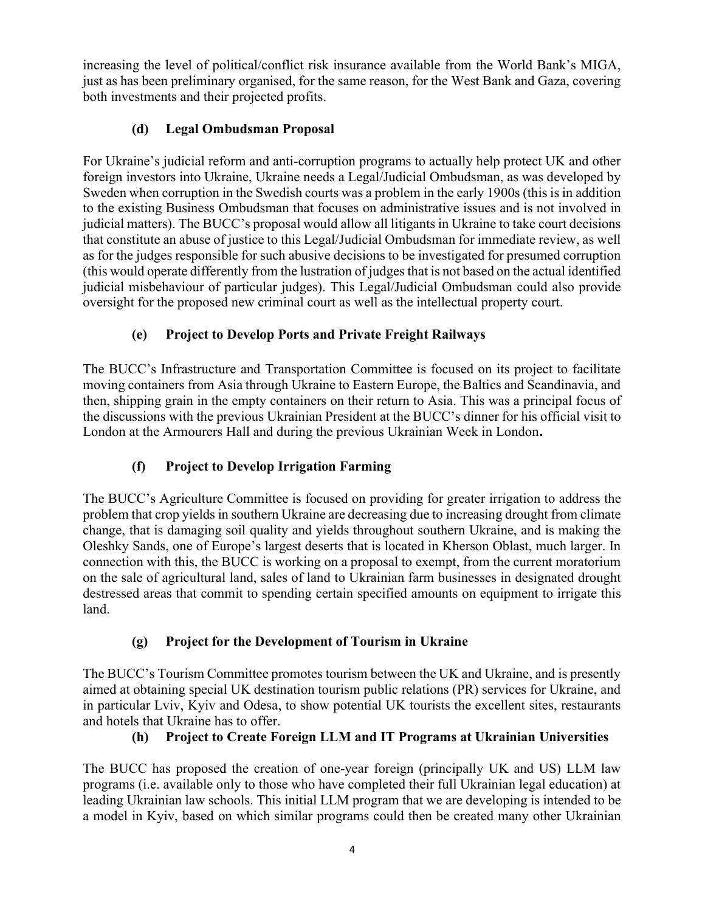increasing the level of political/conflict risk insurance available from the World Bank's MIGA, just as has been preliminary organised, for the same reason, for the West Bank and Gaza, covering both investments and their projected profits.

## (d) Legal Ombudsman Proposal

For Ukraine's judicial reform and anti-corruption programs to actually help protect UK and other foreign investors into Ukraine, Ukraine needs a Legal/Judicial Ombudsman, as was developed by Sweden when corruption in the Swedish courts was a problem in the early 1900s (this is in addition to the existing Business Ombudsman that focuses on administrative issues and is not involved in judicial matters). The BUCC's proposal would allow all litigants in Ukraine to take court decisions that constitute an abuse of justice to this Legal/Judicial Ombudsman for immediate review, as well as for the judges responsible for such abusive decisions to be investigated for presumed corruption (this would operate differently from the lustration of judges that is not based on the actual identified judicial misbehaviour of particular judges). This Legal/Judicial Ombudsman could also provide oversight for the proposed new criminal court as well as the intellectual property court.

## (e) Project to Develop Ports and Private Freight Railways

The BUCC's Infrastructure and Transportation Committee is focused on its project to facilitate moving containers from Asia through Ukraine to Eastern Europe, the Baltics and Scandinavia, and then, shipping grain in the empty containers on their return to Asia. This was a principal focus of the discussions with the previous Ukrainian President at the BUCC's dinner for his official visit to London at the Armourers Hall and during the previous Ukrainian Week in London.

## (f) Project to Develop Irrigation Farming

The BUCC's Agriculture Committee is focused on providing for greater irrigation to address the problem that crop yields in southern Ukraine are decreasing due to increasing drought from climate change, that is damaging soil quality and yields throughout southern Ukraine, and is making the Oleshky Sands, one of Europe's largest deserts that is located in Kherson Oblast, much larger. In connection with this, the BUCC is working on a proposal to exempt, from the current moratorium on the sale of agricultural land, sales of land to Ukrainian farm businesses in designated drought destressed areas that commit to spending certain specified amounts on equipment to irrigate this land.

## (g) Project for the Development of Tourism in Ukraine

The BUCC's Tourism Committee promotes tourism between the UK and Ukraine, and is presently aimed at obtaining special UK destination tourism public relations (PR) services for Ukraine, and in particular Lviv, Kyiv and Odesa, to show potential UK tourists the excellent sites, restaurants and hotels that Ukraine has to offer.

### (h) Project to Create Foreign LLM and IT Programs at Ukrainian Universities

The BUCC has proposed the creation of one-year foreign (principally UK and US) LLM law programs (i.e. available only to those who have completed their full Ukrainian legal education) at leading Ukrainian law schools. This initial LLM program that we are developing is intended to be a model in Kyiv, based on which similar programs could then be created many other Ukrainian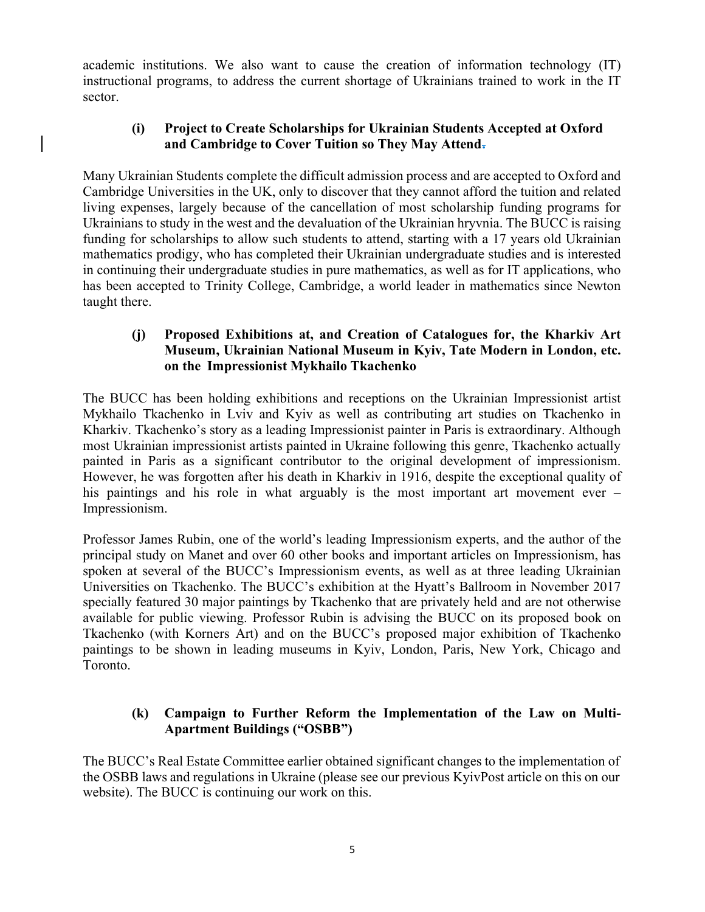academic institutions. We also want to cause the creation of information technology (IT) instructional programs, to address the current shortage of Ukrainians trained to work in the IT sector.

#### (i) Project to Create Scholarships for Ukrainian Students Accepted at Oxford and Cambridge to Cover Tuition so They May Attend.

Many Ukrainian Students complete the difficult admission process and are accepted to Oxford and Cambridge Universities in the UK, only to discover that they cannot afford the tuition and related living expenses, largely because of the cancellation of most scholarship funding programs for Ukrainians to study in the west and the devaluation of the Ukrainian hryvnia. The BUCC is raising funding for scholarships to allow such students to attend, starting with a 17 years old Ukrainian mathematics prodigy, who has completed their Ukrainian undergraduate studies and is interested in continuing their undergraduate studies in pure mathematics, as well as for IT applications, who has been accepted to Trinity College, Cambridge, a world leader in mathematics since Newton taught there.

#### (j) Proposed Exhibitions at, and Creation of Catalogues for, the Kharkiv Art Museum, Ukrainian National Museum in Kyiv, Tate Modern in London, etc. on the Impressionist Mykhailo Tkachenko

The BUCC has been holding exhibitions and receptions on the Ukrainian Impressionist artist Mykhailo Tkachenko in Lviv and Kyiv as well as contributing art studies on Tkachenko in Kharkiv. Tkachenko's story as a leading Impressionist painter in Paris is extraordinary. Although most Ukrainian impressionist artists painted in Ukraine following this genre, Tkachenko actually painted in Paris as a significant contributor to the original development of impressionism. However, he was forgotten after his death in Kharkiv in 1916, despite the exceptional quality of his paintings and his role in what arguably is the most important art movement ever – Impressionism.

Professor James Rubin, one of the world's leading Impressionism experts, and the author of the principal study on Manet and over 60 other books and important articles on Impressionism, has spoken at several of the BUCC's Impressionism events, as well as at three leading Ukrainian Universities on Tkachenko. The BUCC's exhibition at the Hyatt's Ballroom in November 2017 specially featured 30 major paintings by Tkachenko that are privately held and are not otherwise available for public viewing. Professor Rubin is advising the BUCC on its proposed book on Tkachenko (with Korners Art) and on the BUCC's proposed major exhibition of Tkachenko paintings to be shown in leading museums in Kyiv, London, Paris, New York, Chicago and Toronto.

### (k) Campaign to Further Reform the Implementation of the Law on Multi-Apartment Buildings ("OSBB")

The BUCC's Real Estate Committee earlier obtained significant changes to the implementation of the OSBB laws and regulations in Ukraine (please see our previous KyivPost article on this on our website). The BUCC is continuing our work on this.